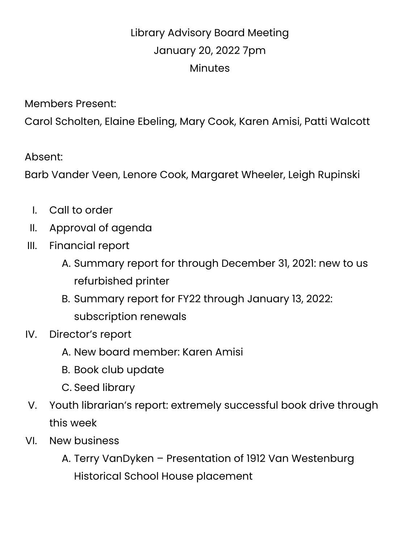## Library Advisory Board Meeting January 20, 2022 7pm **Minutes**

Members Present:

Carol Scholten, Elaine Ebeling, Mary Cook, Karen Amisi, Patti Walcott

Absent:

Barb Vander Veen, Lenore Cook, Margaret Wheeler, Leigh Rupinski

- I. Call to order
- II. Approval of agenda
- III. Financial report
	- A. Summary report for through December 31, 2021: new to us refurbished printer
	- B. Summary report for FY22 through January 13, 2022: subscription renewals
- IV. Director's report
	- A. New board member: Karen Amisi
	- B. Book club update
	- C. Seed library
- V. Youth librarian's report: extremely successful book drive through this week
- VI. New business
	- A. Terry VanDyken Presentation of 1912 Van Westenburg Historical School House placement